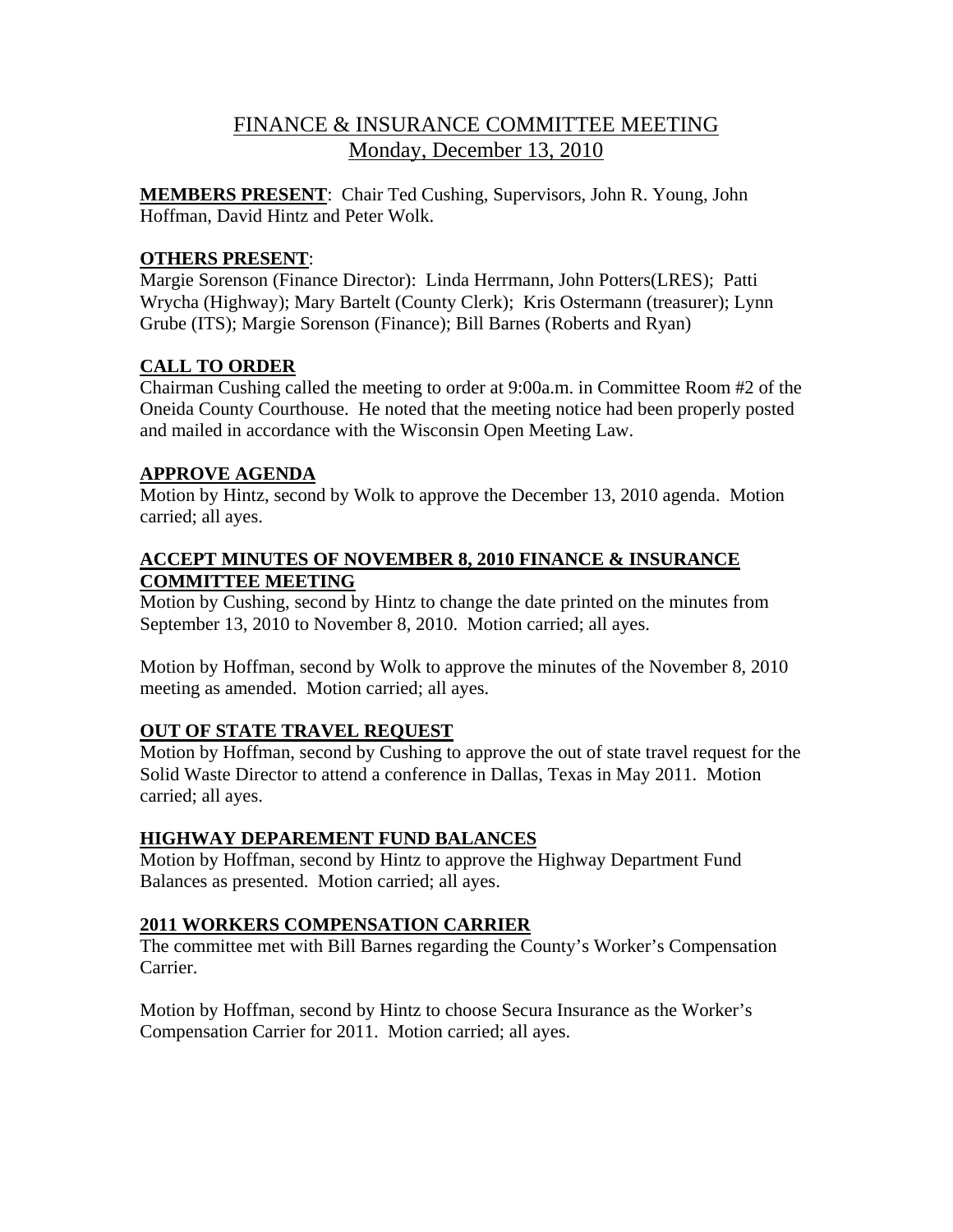# FINANCE & INSURANCE COMMITTEE MEETING Monday, December 13, 2010

**MEMBERS PRESENT**: Chair Ted Cushing, Supervisors, John R. Young, John Hoffman, David Hintz and Peter Wolk.

### **OTHERS PRESENT**:

Margie Sorenson (Finance Director): Linda Herrmann, John Potters(LRES); Patti Wrycha (Highway); Mary Bartelt (County Clerk); Kris Ostermann (treasurer); Lynn Grube (ITS); Margie Sorenson (Finance); Bill Barnes (Roberts and Ryan)

#### **CALL TO ORDER**

Chairman Cushing called the meeting to order at 9:00a.m. in Committee Room #2 of the Oneida County Courthouse. He noted that the meeting notice had been properly posted and mailed in accordance with the Wisconsin Open Meeting Law.

#### **APPROVE AGENDA**

Motion by Hintz, second by Wolk to approve the December 13, 2010 agenda. Motion carried; all ayes.

#### **ACCEPT MINUTES OF NOVEMBER 8, 2010 FINANCE & INSURANCE COMMITTEE MEETING**

Motion by Cushing, second by Hintz to change the date printed on the minutes from September 13, 2010 to November 8, 2010. Motion carried; all ayes.

Motion by Hoffman, second by Wolk to approve the minutes of the November 8, 2010 meeting as amended. Motion carried; all ayes.

## **OUT OF STATE TRAVEL REQUEST**

Motion by Hoffman, second by Cushing to approve the out of state travel request for the Solid Waste Director to attend a conference in Dallas, Texas in May 2011. Motion carried; all ayes.

## **HIGHWAY DEPAREMENT FUND BALANCES**

Motion by Hoffman, second by Hintz to approve the Highway Department Fund Balances as presented. Motion carried; all ayes.

#### **2011 WORKERS COMPENSATION CARRIER**

The committee met with Bill Barnes regarding the County's Worker's Compensation Carrier.

Motion by Hoffman, second by Hintz to choose Secura Insurance as the Worker's Compensation Carrier for 2011. Motion carried; all ayes.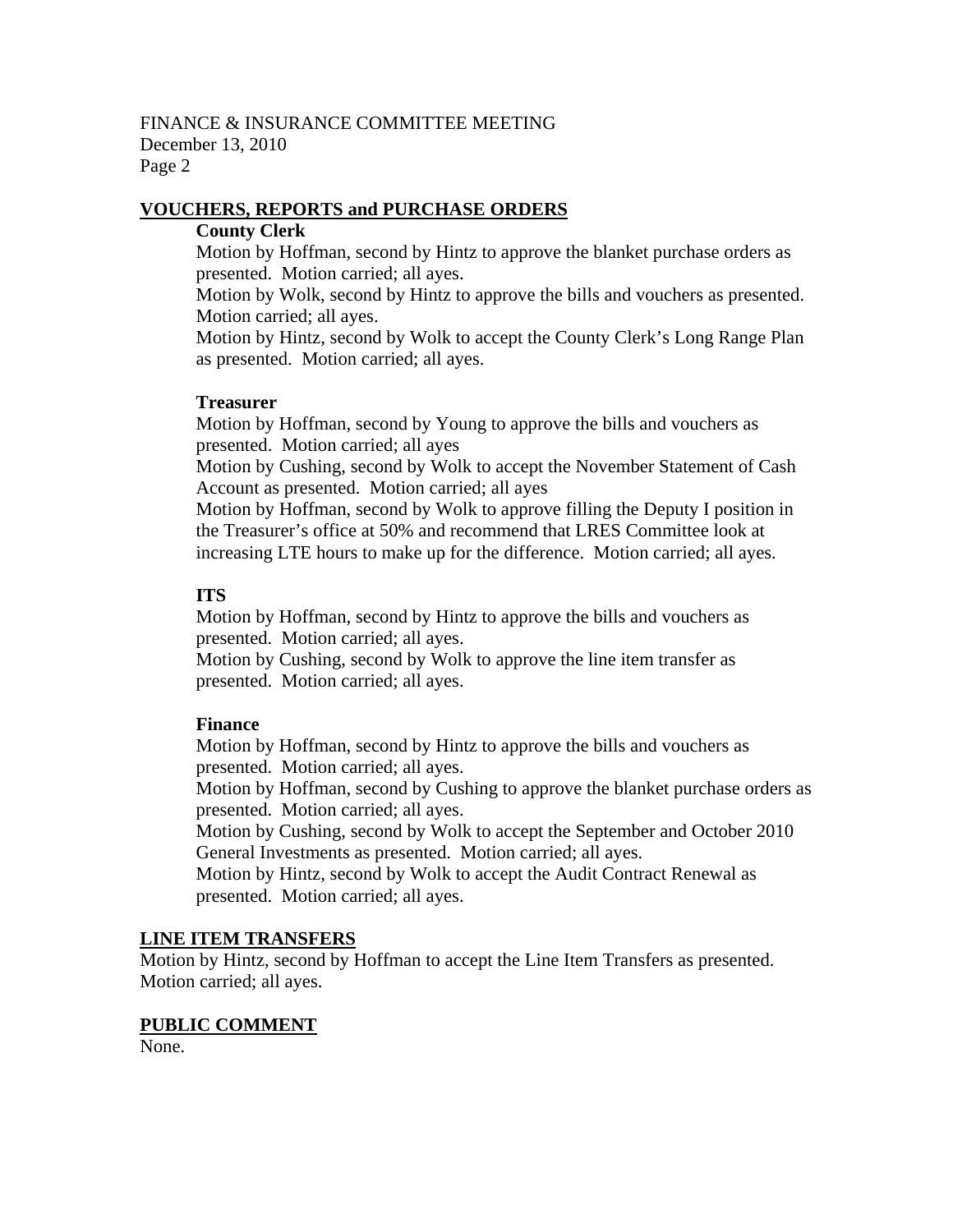#### FINANCE & INSURANCE COMMITTEE MEETING December 13, 2010 Page 2

#### **VOUCHERS, REPORTS and PURCHASE ORDERS**

#### **County Clerk**

Motion by Hoffman, second by Hintz to approve the blanket purchase orders as presented. Motion carried; all ayes.

Motion by Wolk, second by Hintz to approve the bills and vouchers as presented. Motion carried; all ayes.

Motion by Hintz, second by Wolk to accept the County Clerk's Long Range Plan as presented. Motion carried; all ayes.

#### **Treasurer**

Motion by Hoffman, second by Young to approve the bills and vouchers as presented. Motion carried; all ayes

Motion by Cushing, second by Wolk to accept the November Statement of Cash Account as presented. Motion carried; all ayes

Motion by Hoffman, second by Wolk to approve filling the Deputy I position in the Treasurer's office at 50% and recommend that LRES Committee look at increasing LTE hours to make up for the difference. Motion carried; all ayes.

#### **ITS**

Motion by Hoffman, second by Hintz to approve the bills and vouchers as presented. Motion carried; all ayes.

Motion by Cushing, second by Wolk to approve the line item transfer as presented. Motion carried; all ayes.

## **Finance**

Motion by Hoffman, second by Hintz to approve the bills and vouchers as presented. Motion carried; all ayes.

Motion by Hoffman, second by Cushing to approve the blanket purchase orders as presented. Motion carried; all ayes.

Motion by Cushing, second by Wolk to accept the September and October 2010 General Investments as presented. Motion carried; all ayes.

Motion by Hintz, second by Wolk to accept the Audit Contract Renewal as presented. Motion carried; all ayes.

#### **LINE ITEM TRANSFERS**

Motion by Hintz, second by Hoffman to accept the Line Item Transfers as presented. Motion carried; all ayes.

#### **PUBLIC COMMENT**

None.